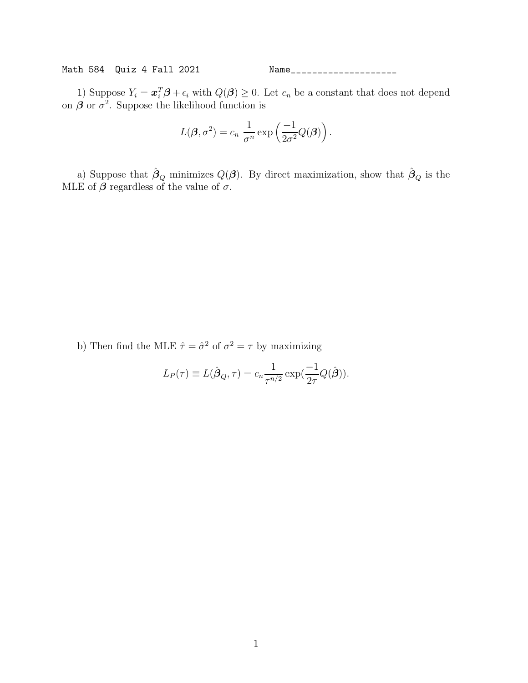Math 584 Quiz 4 Fall 2021 Name\_\_\_\_\_\_\_\_\_\_\_\_\_\_\_\_\_\_\_\_

1) Suppose  $Y_i = \boldsymbol{x}_i^T \boldsymbol{\beta} + \epsilon_i$  with  $Q(\boldsymbol{\beta}) \geq 0$ . Let  $c_n$  be a constant that does not depend on  $\beta$  or  $\sigma^2$ . Suppose the likelihood function is

$$
L(\boldsymbol{\beta}, \sigma^2) = c_n \frac{1}{\sigma^n} \exp\left(\frac{-1}{2\sigma^2} Q(\boldsymbol{\beta})\right).
$$

a) Suppose that  $\hat{\beta}_Q$  minimizes  $Q(\boldsymbol{\beta})$ . By direct maximization, show that  $\hat{\beta}_Q$  is the MLE of  $\beta$  regardless of the value of  $\sigma$ .

b) Then find the MLE  $\hat{\tau} = \hat{\sigma}^2$  of  $\sigma^2 = \tau$  by maximizing

$$
L_P(\tau) \equiv L(\hat{\boldsymbol{\beta}}_Q, \tau) = c_n \frac{1}{\tau^{n/2}} \exp(\frac{-1}{2\tau} Q(\hat{\boldsymbol{\beta}})).
$$